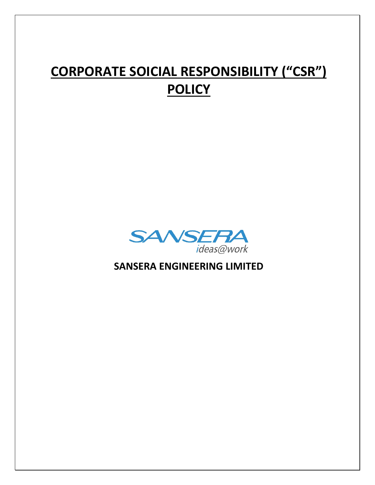# **CORPORATE SOICIAL RESPONSIBILITY ("CSR") POLICY**



**SANSERA ENGINEERING LIMITED**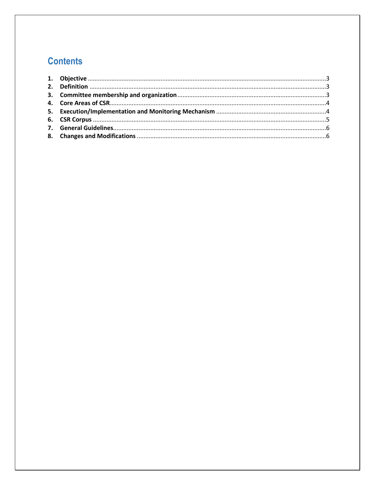# **Contents**

<span id="page-1-0"></span>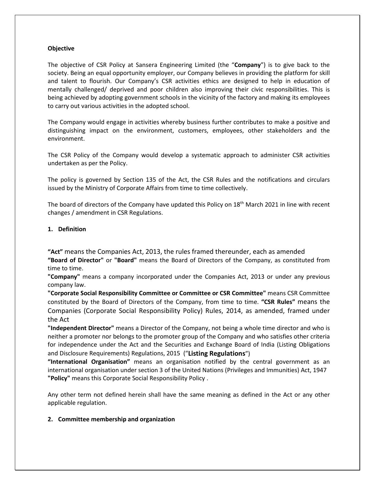#### **Objective**

The objective of CSR Policy at Sansera Engineering Limited (the "**Company**") is to give back to the society. Being an equal opportunity employer, our Company believes in providing the platform for skill and talent to flourish. Our Company's CSR activities ethics are designed to help in education of mentally challenged/ deprived and poor children also improving their civic responsibilities. This is being achieved by adopting government schools in the vicinity of the factory and making its employees to carry out various activities in the adopted school.

The Company would engage in activities whereby business further contributes to make a positive and distinguishing impact on the environment, customers, employees, other stakeholders and the environment.

The CSR Policy of the Company would develop a systematic approach to administer CSR activities undertaken as per the Policy.

The policy is governed by Section 135 of the Act, the CSR Rules and the notifications and circulars issued by the Ministry of Corporate Affairs from time to time collectively.

The board of directors of the Company have updated this Policy on  $18<sup>th</sup>$  March 2021 in line with recent changes / amendment in CSR Regulations.

#### <span id="page-2-0"></span>**1. Definition**

**"Act"** means the Companies Act, 2013, the rules framed thereunder, each as amended

**"Board of Director"** or **"Board"** means the Board of Directors of the Company, as constituted from time to time.

**"Company"** means a company incorporated under the Companies Act, 2013 or under any previous company law.

**"Corporate Social Responsibility Committee or Committee or CSR Committee"** means CSR Committee constituted by the Board of Directors of the Company, from time to time. **"CSR Rules"** means the Companies (Corporate Social Responsibility Policy) Rules, 2014, as amended, framed under the Act

**"Independent Director"** means a Director of the Company, not being a whole time director and who is neither a promoter nor belongs to the promoter group of the Company and who satisfies other criteria for independence under the Act and the Securities and Exchange Board of India (Listing Obligations and Disclosure Requirements) Regulations, 2015 ("**Listing Regulations**")

**"International Organisation"** means an organisation notified by the central government as an international organisation under section 3 of the United Nations (Privileges and Immunities) Act, 1947 **"Policy"** means this Corporate Social Responsibility Policy .

Any other term not defined herein shall have the same meaning as defined in the Act or any other applicable regulation.

#### <span id="page-2-1"></span>**2. Committee membership and organization**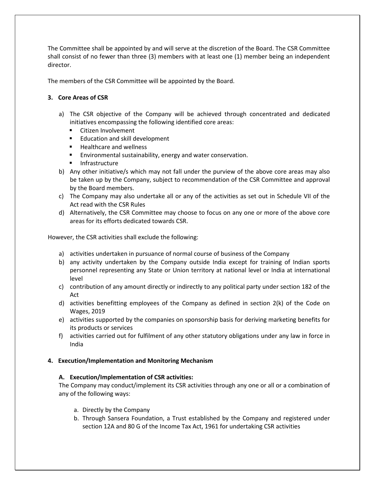The Committee shall be appointed by and will serve at the discretion of the Board. The CSR Committee shall consist of no fewer than three (3) members with at least one (1) member being an independent director.

The members of the CSR Committee will be appointed by the Board.

### <span id="page-3-0"></span>**3. Core Areas of CSR**

- a) The CSR objective of the Company will be achieved through concentrated and dedicated initiatives encompassing the following identified core areas:
	- **EXEC** Citizen Involvement
	- **Education and skill development**
	- Healthcare and wellness
	- **E** Environmental sustainability, energy and water conservation.
	- **Infrastructure**
- b) Any other initiative/s which may not fall under the purview of the above core areas may also be taken up by the Company, subject to recommendation of the CSR Committee and approval by the Board members.
- c) The Company may also undertake all or any of the activities as set out in Schedule VII of the Act read with the CSR Rules
- d) Alternatively, the CSR Committee may choose to focus on any one or more of the above core areas for its efforts dedicated towards CSR.

However, the CSR activities shall exclude the following:

- a) activities undertaken in pursuance of normal course of business of the Company
- b) any activity undertaken by the Company outside India except for training of Indian sports personnel representing any State or Union territory at national level or India at international level
- c) contribution of any amount directly or indirectly to any political party under section 182 of the Act
- d) activities benefitting employees of the Company as defined in section  $2(k)$  of the Code on Wages, 2019
- e) activities supported by the companies on sponsorship basis for deriving marketing benefits for its products or services
- f) activities carried out for fulfilment of any other statutory obligations under any law in force in India

#### <span id="page-3-1"></span>**4. Execution/Implementation and Monitoring Mechanism**

#### **A. Execution/Implementation of CSR activities:**

The Company may conduct/implement its CSR activities through any one or all or a combination of any of the following ways:

- a. Directly by the Company
- b. Through Sansera Foundation, a Trust established by the Company and registered under section 12A and 80 G of the Income Tax Act, 1961 for undertaking CSR activities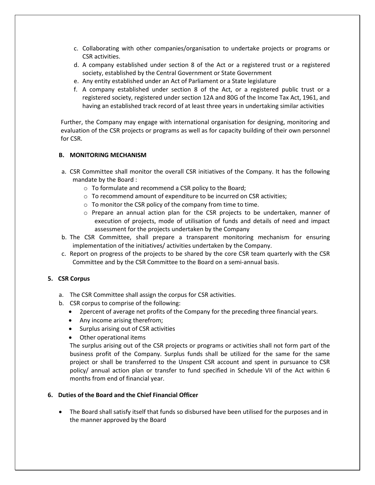- c. Collaborating with other companies/organisation to undertake projects or programs or CSR activities.
- d. A company established under section 8 of the Act or a registered trust or a registered society, established by the Central Government or State Government
- e. Any entity established under an Act of Parliament or a State legislature
- f. A company established under section 8 of the Act, or a registered public trust or a registered society, registered under section 12A and 80G of the Income Tax Act, 1961, and having an established track record of at least three years in undertaking similar activities

Further, the Company may engage with international organisation for designing, monitoring and evaluation of the CSR projects or programs as well as for capacity building of their own personnel for CSR.

#### **B. MONITORING MECHANISM**

- a. CSR Committee shall monitor the overall CSR initiatives of the Company. It has the following mandate by the Board :
	- o To formulate and recommend a CSR policy to the Board;
	- o To recommend amount of expenditure to be incurred on CSR activities;
	- $\circ$  To monitor the CSR policy of the company from time to time.
	- o Prepare an annual action plan for the CSR projects to be undertaken, manner of execution of projects, mode of utilisation of funds and details of need and impact assessment for the projects undertaken by the Company
- b. The CSR Committee, shall prepare a transparent monitoring mechanism for ensuring implementation of the initiatives/ activities undertaken by the Company.
- c. Report on progress of the projects to be shared by the core CSR team quarterly with the CSR Committee and by the CSR Committee to the Board on a semi-annual basis.

#### <span id="page-4-0"></span>**5. CSR Corpus**

- a. The CSR Committee shall assign the corpus for CSR activities.
- b. CSR corpus to comprise of the following:
	- 2percent of average net profits of the Company for the preceding three financial years.
	- Any income arising therefrom;
	- Surplus arising out of CSR activities
	- Other operational items

The surplus arising out of the CSR projects or programs or activities shall not form part of the business profit of the Company. Surplus funds shall be utilized for the same for the same project or shall be transferred to the Unspent CSR account and spent in pursuance to CSR policy/ annual action plan or transfer to fund specified in Schedule VII of the Act within 6 months from end of financial year.

#### **6. Duties of the Board and the Chief Financial Officer**

• The Board shall satisfy itself that funds so disbursed have been utilised for the purposes and in the manner approved by the Board